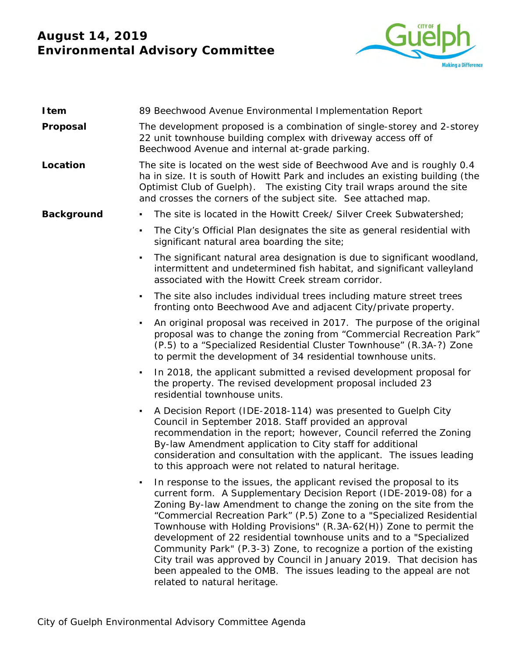## **August 14, 2019 Environmental Advisory Committee**



| Item              | 89 Beechwood Avenue Environmental Implementation Report                                                                                                                                                                                                                                                                                                                                                                                                                                                                                                                                                                                                                                     |
|-------------------|---------------------------------------------------------------------------------------------------------------------------------------------------------------------------------------------------------------------------------------------------------------------------------------------------------------------------------------------------------------------------------------------------------------------------------------------------------------------------------------------------------------------------------------------------------------------------------------------------------------------------------------------------------------------------------------------|
| Proposal          | The development proposed is a combination of single-storey and 2-storey<br>22 unit townhouse building complex with driveway access off of<br>Beechwood Avenue and internal at-grade parking.                                                                                                                                                                                                                                                                                                                                                                                                                                                                                                |
| Location          | The site is located on the west side of Beechwood Ave and is roughly 0.4<br>ha in size. It is south of Howitt Park and includes an existing building (the<br>Optimist Club of Guelph). The existing City trail wraps around the site<br>and crosses the corners of the subject site. See attached map.                                                                                                                                                                                                                                                                                                                                                                                      |
| <b>Background</b> | The site is located in the Howitt Creek/ Silver Creek Subwatershed;<br>٠                                                                                                                                                                                                                                                                                                                                                                                                                                                                                                                                                                                                                    |
|                   | The City's Official Plan designates the site as general residential with<br>significant natural area boarding the site;                                                                                                                                                                                                                                                                                                                                                                                                                                                                                                                                                                     |
|                   | The significant natural area designation is due to significant woodland,<br>٠<br>intermittent and undetermined fish habitat, and significant valleyland<br>associated with the Howitt Creek stream corridor.                                                                                                                                                                                                                                                                                                                                                                                                                                                                                |
|                   | The site also includes individual trees including mature street trees<br>fronting onto Beechwood Ave and adjacent City/private property.                                                                                                                                                                                                                                                                                                                                                                                                                                                                                                                                                    |
|                   | An original proposal was received in 2017. The purpose of the original<br>proposal was to change the zoning from "Commercial Recreation Park"<br>(P.5) to a "Specialized Residential Cluster Townhouse" (R.3A-?) Zone<br>to permit the development of 34 residential townhouse units.                                                                                                                                                                                                                                                                                                                                                                                                       |
|                   | In 2018, the applicant submitted a revised development proposal for<br>٠<br>the property. The revised development proposal included 23<br>residential townhouse units.                                                                                                                                                                                                                                                                                                                                                                                                                                                                                                                      |
|                   | A Decision Report (IDE-2018-114) was presented to Guelph City<br>٠<br>Council in September 2018. Staff provided an approval<br>recommendation in the report; however, Council referred the Zoning<br>By-law Amendment application to City staff for additional<br>consideration and consultation with the applicant. The issues leading<br>to this approach were not related to natural heritage.                                                                                                                                                                                                                                                                                           |
|                   | In response to the issues, the applicant revised the proposal to its<br>current form. A Supplementary Decision Report (IDE-2019-08) for a<br>Zoning By-law Amendment to change the zoning on the site from the<br>"Commercial Recreation Park" (P.5) Zone to a "Specialized Residential<br>Townhouse with Holding Provisions" (R.3A-62(H)) Zone to permit the<br>development of 22 residential townhouse units and to a "Specialized<br>Community Park" (P.3-3) Zone, to recognize a portion of the existing<br>City trail was approved by Council in January 2019. That decision has<br>been appealed to the OMB. The issues leading to the appeal are not<br>related to natural heritage. |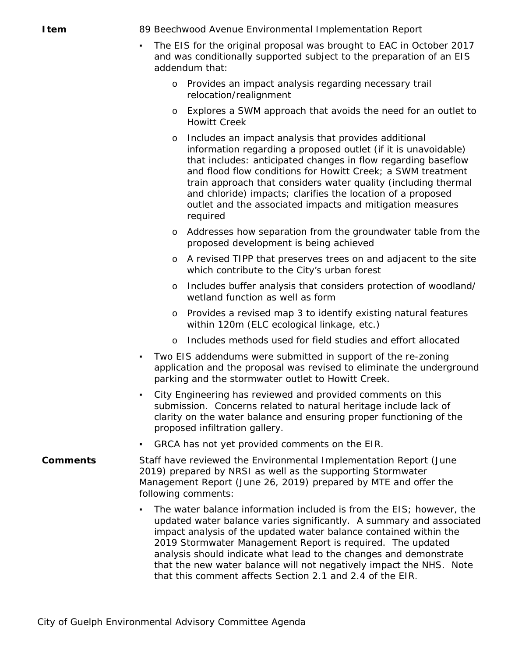**Item** 89 Beechwood Avenue Environmental Implementation Report

- The EIS for the original proposal was brought to EAC in October 2017 and was conditionally supported subject to the preparation of an EIS addendum that:
	- o Provides an impact analysis regarding necessary trail relocation/realignment
	- o Explores a SWM approach that avoids the need for an outlet to Howitt Creek
	- o Includes an impact analysis that provides additional information regarding a proposed outlet (if it is unavoidable) that includes: anticipated changes in flow regarding baseflow and flood flow conditions for Howitt Creek; a SWM treatment train approach that considers water quality (including thermal and chloride) impacts; clarifies the location of a proposed outlet and the associated impacts and mitigation measures required
	- o Addresses how separation from the groundwater table from the proposed development is being achieved
	- o A revised TIPP that preserves trees on and adjacent to the site which contribute to the City's urban forest
	- o Includes buffer analysis that considers protection of woodland/ wetland function as well as form
	- o Provides a revised map 3 to identify existing natural features within 120m (ELC ecological linkage, etc.)
	- o Includes methods used for field studies and effort allocated
- Two EIS addendums were submitted in support of the re-zoning application and the proposal was revised to eliminate the underground parking and the stormwater outlet to Howitt Creek.
- City Engineering has reviewed and provided comments on this submission. Concerns related to natural heritage include lack of clarity on the water balance and ensuring proper functioning of the proposed infiltration gallery.
- GRCA has not yet provided comments on the EIR.
- **Comments** Staff have reviewed the Environmental Implementation Report (June 2019) prepared by NRSI as well as the supporting Stormwater Management Report (June 26, 2019) prepared by MTE and offer the following comments:
	- The water balance information included is from the EIS; however, the updated water balance varies significantly. A summary and associated impact analysis of the updated water balance contained within the 2019 Stormwater Management Report is required. The updated analysis should indicate what lead to the changes and demonstrate that the new water balance will not negatively impact the NHS. Note that this comment affects Section 2.1 and 2.4 of the EIR.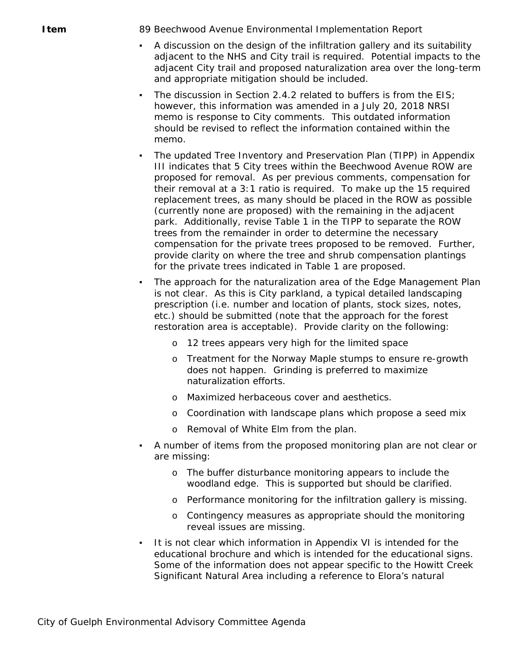**Item** 89 Beechwood Avenue Environmental Implementation Report

- A discussion on the design of the infiltration gallery and its suitability adjacent to the NHS and City trail is required. Potential impacts to the adjacent City trail and proposed naturalization area over the long-term and appropriate mitigation should be included.
- The discussion in Section 2.4.2 related to buffers is from the  $EIS$ ; however, this information was amended in a July 20, 2018 NRSI memo is response to City comments. This outdated information should be revised to reflect the information contained within the memo.
- The updated Tree Inventory and Preservation Plan (TIPP) in Appendix III indicates that 5 City trees within the Beechwood Avenue ROW are proposed for removal. As per previous comments, compensation for their removal at a 3:1 ratio is required. To make up the 15 required replacement trees, as many should be placed in the ROW as possible (currently none are proposed) with the remaining in the adjacent park. Additionally, revise Table 1 in the TIPP to separate the ROW trees from the remainder in order to determine the necessary compensation for the private trees proposed to be removed. Further, provide clarity on where the tree and shrub compensation plantings for the private trees indicated in Table 1 are proposed.
- The approach for the naturalization area of the Edge Management Plan is not clear. As this is City parkland, a typical detailed landscaping prescription (i.e. number and location of plants, stock sizes, notes, etc.) should be submitted (note that the approach for the forest restoration area is acceptable). Provide clarity on the following:
	- o 12 trees appears very high for the limited space
	- o Treatment for the Norway Maple stumps to ensure re-growth does not happen. Grinding is preferred to maximize naturalization efforts.
	- o Maximized herbaceous cover and aesthetics.
	- o Coordination with landscape plans which propose a seed mix
	- o Removal of White Elm from the plan.
- A number of items from the proposed monitoring plan are not clear or are missing:
	- o The buffer disturbance monitoring appears to include the woodland edge. This is supported but should be clarified.
	- o Performance monitoring for the infiltration gallery is missing.
	- o Contingency measures as appropriate should the monitoring reveal issues are missing.
- It is not clear which information in Appendix VI is intended for the educational brochure and which is intended for the educational signs. Some of the information does not appear specific to the Howitt Creek Significant Natural Area including a reference to Elora's natural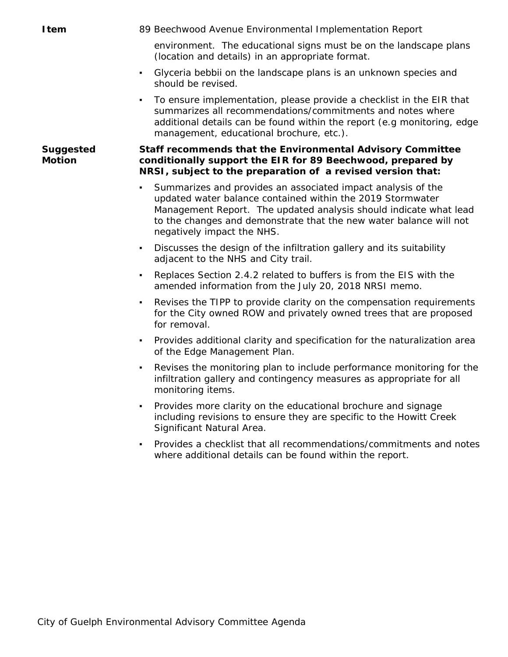**Item** 89 Beechwood Avenue Environmental Implementation Report

environment. The educational signs must be on the landscape plans (location and details) in an appropriate format.

- Glyceria bebbii on the landscape plans is an unknown species and should be revised.
- To ensure implementation, please provide a checklist in the EIR that summarizes all recommendations/commitments and notes where additional details can be found within the report (e.g monitoring, edge management, educational brochure, etc.).

## **Suggested Motion**

## *Staff recommends that the Environmental Advisory Committee conditionally support the EIR for 89 Beechwood, prepared by NRSI, subject to the preparation of a revised version that:*

- Summarizes and provides an associated impact analysis of the updated water balance contained within the 2019 Stormwater Management Report. The updated analysis should indicate what lead to the changes and demonstrate that the new water balance will not negatively impact the NHS.
- Discusses the design of the infiltration gallery and its suitability adjacent to the NHS and City trail.
- Replaces Section 2.4.2 related to buffers is from the EIS with the amended information from the July 20, 2018 NRSI memo.
- Revises the TIPP to provide clarity on the compensation requirements for the City owned ROW and privately owned trees that are proposed for removal.
- Provides additional clarity and specification for the naturalization area of the Edge Management Plan.
- Revises the monitoring plan to include performance monitoring for the infiltration gallery and contingency measures as appropriate for all monitoring items.
- Provides more clarity on the educational brochure and signage including revisions to ensure they are specific to the Howitt Creek Significant Natural Area.
- Provides a checklist that all recommendations/commitments and notes where additional details can be found within the report.